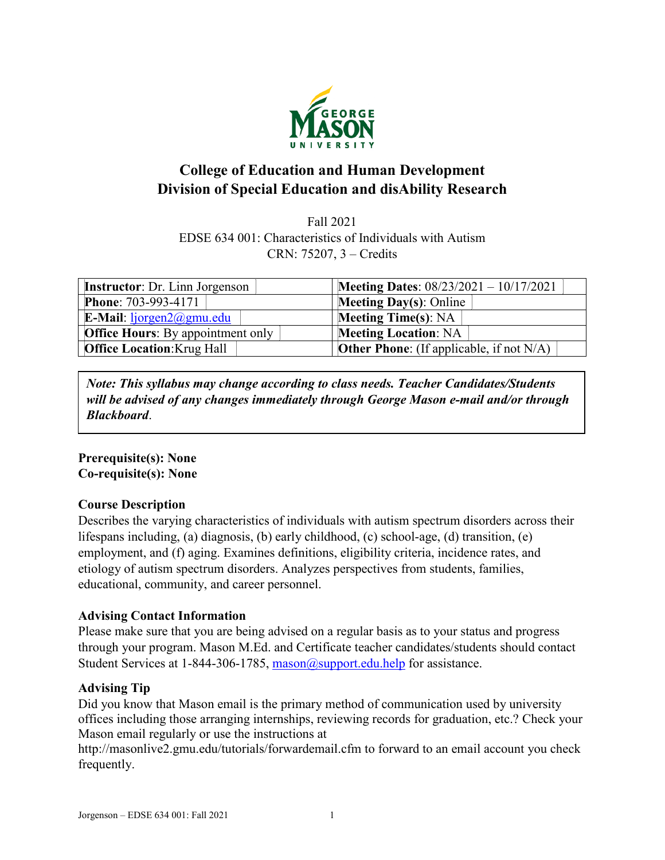

# **College of Education and Human Development Division of Special Education and disAbility Research**

Fall 2021 EDSE 634 001: Characteristics of Individuals with Autism CRN: 75207, 3 – Credits

| <b>Instructor:</b> Dr. Linn Jorgenson      | <b>Meeting Dates:</b> $08/23/2021 - 10/17/2021$    |  |
|--------------------------------------------|----------------------------------------------------|--|
| <b>Phone: 703-993-4171</b>                 | <b>Meeting Day(s): Online</b>                      |  |
| <b>E-Mail:</b> $lipgen2(\partial gmu.edu)$ | <b>Meeting Time(s): NA</b>                         |  |
| <b>Office Hours:</b> By appointment only   | <b>Meeting Location: NA</b>                        |  |
| <b>Office Location: Krug Hall</b>          | <b>Other Phone:</b> (If applicable, if not $N/A$ ) |  |

*Note: This syllabus may change according to class needs. Teacher Candidates/Students will be advised of any changes immediately through George Mason e-mail and/or through Blackboard*.

## **Prerequisite(s): None Co-requisite(s): None**

## **Course Description**

Describes the varying characteristics of individuals with autism spectrum disorders across their lifespans including, (a) diagnosis, (b) early childhood, (c) school-age, (d) transition, (e) employment, and (f) aging. Examines definitions, eligibility criteria, incidence rates, and etiology of autism spectrum disorders. Analyzes perspectives from students, families, educational, community, and career personnel.

## **Advising Contact Information**

Please make sure that you are being advised on a regular basis as to your status and progress through your program. Mason M.Ed. and Certificate teacher candidates/students should contact Student Services at 1-844-306-1785, [mason@support.edu.help](mailto:mason@support.edu.help) for assistance.

## **Advising Tip**

Did you know that Mason email is the primary method of communication used by university offices including those arranging internships, reviewing records for graduation, etc.? Check your Mason email regularly or use the instructions at

http://masonlive2.gmu.edu/tutorials/forwardemail.cfm to forward to an email account you check frequently.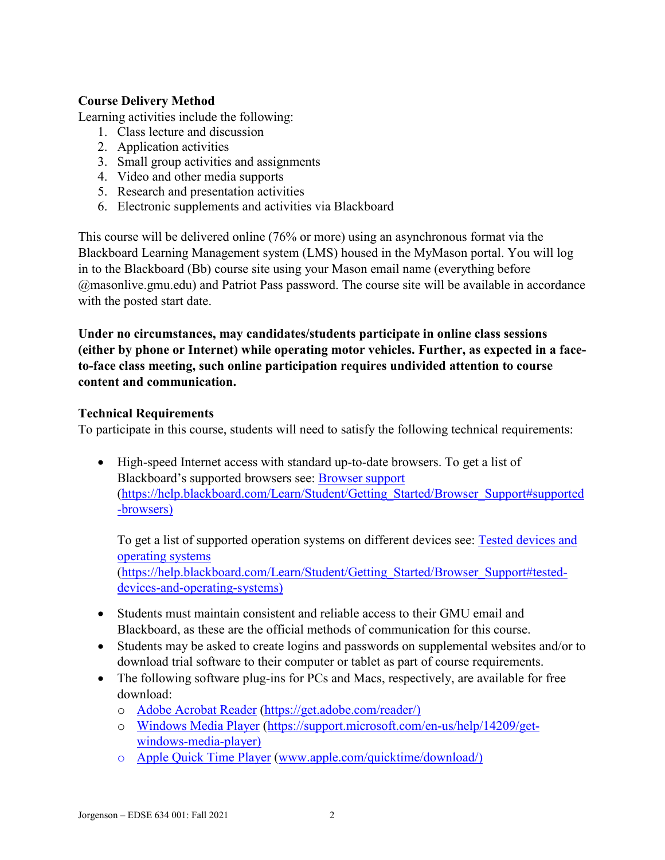# **Course Delivery Method**

Learning activities include the following:

- 1. Class lecture and discussion
- 2. Application activities
- 3. Small group activities and assignments
- 4. Video and other media supports
- 5. Research and presentation activities
- 6. Electronic supplements and activities via Blackboard

This course will be delivered online (76% or more) using an asynchronous format via the Blackboard Learning Management system (LMS) housed in the MyMason portal. You will log in to the Blackboard (Bb) course site using your Mason email name (everything before @masonlive.gmu.edu) and Patriot Pass password. The course site will be available in accordance with the posted start date.

**Under no circumstances, may candidates/students participate in online class sessions (either by phone or Internet) while operating motor vehicles. Further, as expected in a faceto-face class meeting, such online participation requires undivided attention to course content and communication.**

### **Technical Requirements**

To participate in this course, students will need to satisfy the following technical requirements:

• High-speed Internet access with standard up-to-date browsers. To get a list of Blackboard's supported browsers see: [Browser support](https://help.blackboard.com/Learn/Student/Getting_Started/Browser_Support#supported-browsers) [\(https://help.blackboard.com/Learn/Student/Getting\\_Started/Browser\\_Support#supported](https://help.blackboard.com/Learn/Student/Getting_Started/Browser_Support#supported-browsers) [-browsers\)](https://help.blackboard.com/Learn/Student/Getting_Started/Browser_Support#supported-browsers)

To get a list of supported operation systems on different devices see: [Tested devices and](https://help.blackboard.com/Learn/Student/Getting_Started/Browser_Support#tested-devices-and-operating-systems)  [operating systems](https://help.blackboard.com/Learn/Student/Getting_Started/Browser_Support#tested-devices-and-operating-systems) [\(https://help.blackboard.com/Learn/Student/Getting\\_Started/Browser\\_Support#tested](https://help.blackboard.com/Learn/Student/Getting_Started/Browser_Support#tested-devices-and-operating-systems)[devices-and-operating-systems\)](https://help.blackboard.com/Learn/Student/Getting_Started/Browser_Support#tested-devices-and-operating-systems)

- Students must maintain consistent and reliable access to their GMU email and Blackboard, as these are the official methods of communication for this course.
- Students may be asked to create logins and passwords on supplemental websites and/or to download trial software to their computer or tablet as part of course requirements.
- The following software plug-ins for PCs and Macs, respectively, are available for free download:
	- o [Adobe Acrobat Reader](https://get.adobe.com/reader/) [\(https://get.adobe.com/reader/\)](https://get.adobe.com/reader/)
	- o [Windows Media Player](https://support.microsoft.com/en-us/help/14209/get-windows-media-player) [\(https://support.microsoft.com/en-us/help/14209/get](https://support.microsoft.com/en-us/help/14209/get-windows-media-player)[windows-media-player\)](https://support.microsoft.com/en-us/help/14209/get-windows-media-player)
	- o [Apple Quick Time Player](http://www.apple.com/quicktime/download/) [\(www.apple.com/quicktime/download/\)](http://www.apple.com/quicktime/download/)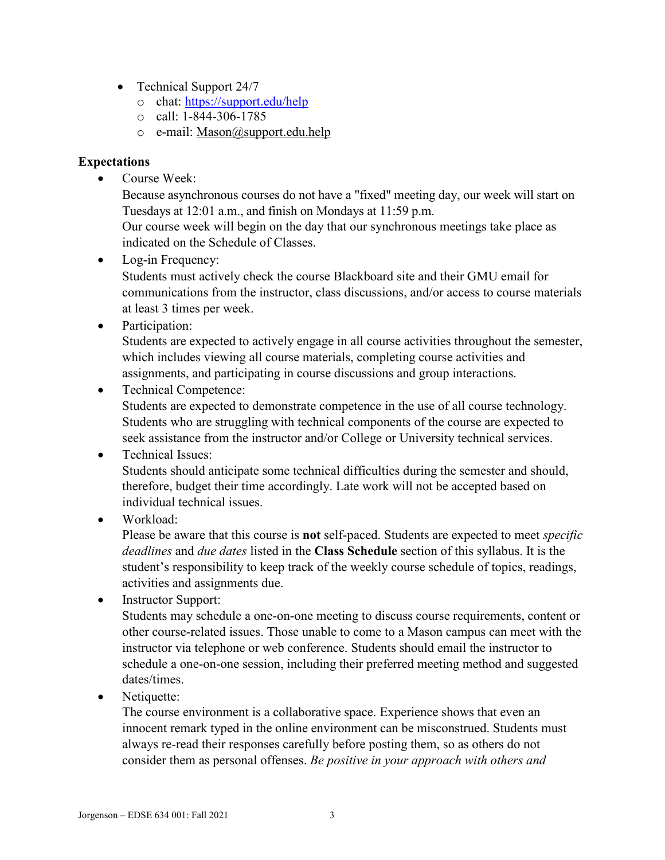- Technical Support 24/7
	- o chat:<https://support.edu/help>
	- $\circ$  call: 1-844-306-1785
	- o e-mail: [Mason@support.edu.help](mailto:Mason@support.edu.help)

## **Expectations**

• Course Week:

Because asynchronous courses do not have a "fixed" meeting day, our week will start on Tuesdays at 12:01 a.m., and finish on Mondays at 11:59 p.m.

Our course week will begin on the day that our synchronous meetings take place as indicated on the Schedule of Classes.

• Log-in Frequency:

Students must actively check the course Blackboard site and their GMU email for communications from the instructor, class discussions, and/or access to course materials at least 3 times per week.

• Participation:

Students are expected to actively engage in all course activities throughout the semester, which includes viewing all course materials, completing course activities and assignments, and participating in course discussions and group interactions.

• Technical Competence:

Students are expected to demonstrate competence in the use of all course technology. Students who are struggling with technical components of the course are expected to seek assistance from the instructor and/or College or University technical services.

# • Technical Issues:

Students should anticipate some technical difficulties during the semester and should, therefore, budget their time accordingly. Late work will not be accepted based on individual technical issues.

# • Workload:

Please be aware that this course is **not** self-paced. Students are expected to meet *specific deadlines* and *due dates* listed in the **Class Schedule** section of this syllabus. It is the student's responsibility to keep track of the weekly course schedule of topics, readings, activities and assignments due.

• Instructor Support:

Students may schedule a one-on-one meeting to discuss course requirements, content or other course-related issues. Those unable to come to a Mason campus can meet with the instructor via telephone or web conference. Students should email the instructor to schedule a one-on-one session, including their preferred meeting method and suggested dates/times.

• Netiquette:

The course environment is a collaborative space. Experience shows that even an innocent remark typed in the online environment can be misconstrued. Students must always re-read their responses carefully before posting them, so as others do not consider them as personal offenses. *Be positive in your approach with others and*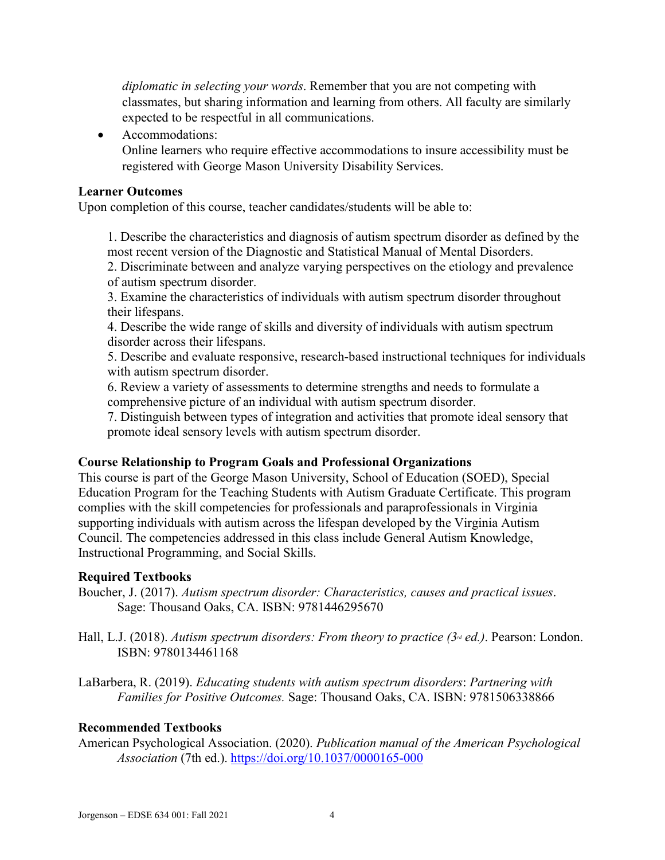*diplomatic in selecting your words*. Remember that you are not competing with classmates, but sharing information and learning from others. All faculty are similarly expected to be respectful in all communications.

• Accommodations:

Online learners who require effective accommodations to insure accessibility must be registered with George Mason University Disability Services.

# **Learner Outcomes**

Upon completion of this course, teacher candidates/students will be able to:

1. Describe the characteristics and diagnosis of autism spectrum disorder as defined by the most recent version of the Diagnostic and Statistical Manual of Mental Disorders.

2. Discriminate between and analyze varying perspectives on the etiology and prevalence of autism spectrum disorder.

3. Examine the characteristics of individuals with autism spectrum disorder throughout their lifespans.

4. Describe the wide range of skills and diversity of individuals with autism spectrum disorder across their lifespans.

5. Describe and evaluate responsive, research-based instructional techniques for individuals with autism spectrum disorder.

6. Review a variety of assessments to determine strengths and needs to formulate a comprehensive picture of an individual with autism spectrum disorder.

7. Distinguish between types of integration and activities that promote ideal sensory that promote ideal sensory levels with autism spectrum disorder.

## **Course Relationship to Program Goals and Professional Organizations**

This course is part of the George Mason University, School of Education (SOED), Special Education Program for the Teaching Students with Autism Graduate Certificate. This program complies with the skill competencies for professionals and paraprofessionals in Virginia supporting individuals with autism across the lifespan developed by the Virginia Autism Council. The competencies addressed in this class include General Autism Knowledge, Instructional Programming, and Social Skills.

# **Required Textbooks**

Boucher, J. (2017). *Autism spectrum disorder: Characteristics, causes and practical issues*. Sage: Thousand Oaks, CA. ISBN: 9781446295670

Hall, L.J. (2018). *Autism spectrum disorders: From theory to practice (3<sup>rd</sup> ed.)*. Pearson: London. ISBN: 9780134461168

LaBarbera, R. (2019). *Educating students with autism spectrum disorders*: *Partnering with Families for Positive Outcomes.* Sage: Thousand Oaks, CA. ISBN: 9781506338866

# **Recommended Textbooks**

American Psychological Association. (2020). *Publication manual of the American Psychological Association* (7th ed.).<https://doi.org/10.1037/0000165-000>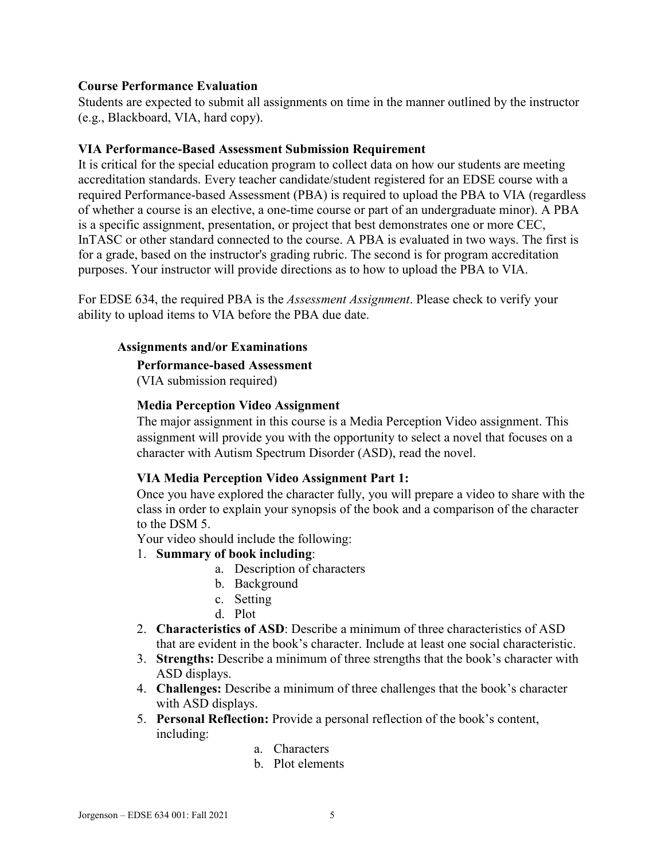### **Course Performance Evaluation**

Students are expected to submit all assignments on time in the manner outlined by the instructor (e.g., Blackboard, VIA, hard copy).

### **VIA Performance-Based Assessment Submission Requirement**

It is critical for the special education program to collect data on how our students are meeting accreditation standards. Every teacher candidate/student registered for an EDSE course with a required Performance-based Assessment (PBA) is required to upload the PBA to VIA (regardless of whether a course is an elective, a one-time course or part of an undergraduate minor). A PBA is a specific assignment, presentation, or project that best demonstrates one or more CEC, InTASC or other standard connected to the course. A PBA is evaluated in two ways. The first is for a grade, based on the instructor's grading rubric. The second is for program accreditation purposes. Your instructor will provide directions as to how to upload the PBA to VIA.

For EDSE 634, the required PBA is the *Assessment Assignment*. Please check to verify your ability to upload items to VIA before the PBA due date.

#### **Assignments and/or Examinations**

#### **Performance-based Assessment**

(VIA submission required)

#### **Media Perception Video Assignment**

The major assignment in this course is a Media Perception Video assignment. This assignment will provide you with the opportunity to select a novel that focuses on a character with Autism Spectrum Disorder (ASD), read the novel.

### **VIA Media Perception Video Assignment Part 1:**

Once you have explored the character fully, you will prepare a video to share with the class in order to explain your synopsis of the book and a comparison of the character to the DSM 5.

Your video should include the following:

- 1. **Summary of book including**:
	- a. Description of characters
	- b. Background
	- c. Setting
	- d. Plot
- 2. **Characteristics of ASD**: Describe a minimum of three characteristics of ASD that are evident in the book's character. Include at least one social characteristic.
- 3. **Strengths:** Describe a minimum of three strengths that the book's character with ASD displays.
- 4. **Challenges:** Describe a minimum of three challenges that the book's character with ASD displays.
- 5. **Personal Reflection:** Provide a personal reflection of the book's content, including:
	- a. Characters
	- b. Plot elements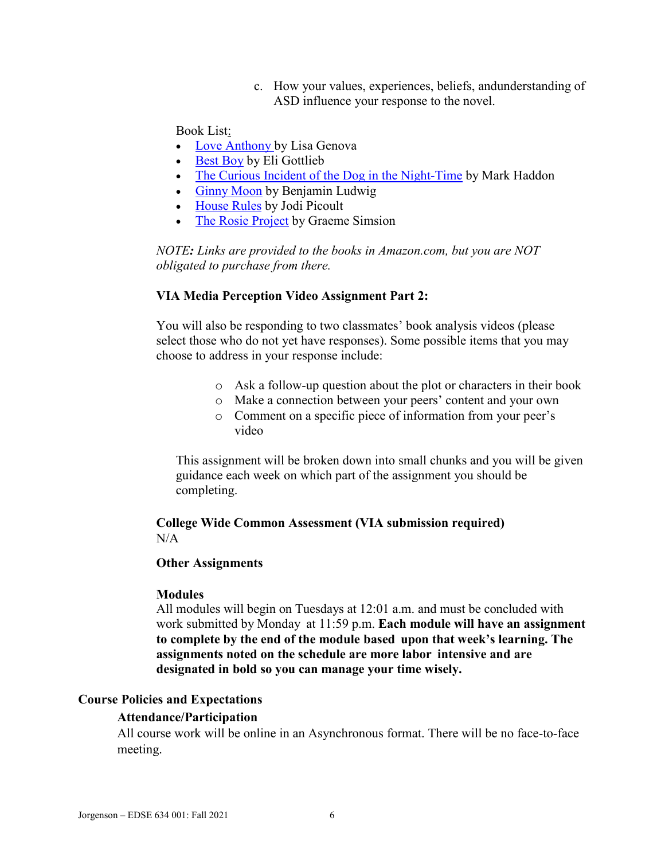c. How your values, experiences, beliefs, andunderstanding of ASD influence your response to the novel.

Book List:

- [Love Anthony b](https://www.amazon.com/dp/B007EDYKSE/ref=dp-kindle-redirect?_encoding=UTF8&btkr=1)y Lisa Genova
- [Best Boy](https://www.amazon.com/Best-Boy-Novel-Eli-Gottlieb-ebook/dp/B00OBSZNT0/ref=sr_1_1?s=digital-text&ie=UTF8&qid=1534357232&sr=1-1&keywords=best+boy) by Eli Gottlieb
- [The Curious Incident of the Dog in the Night-Time](https://www.amazon.com/Curious-Incident-Dog-Night-Time-Contemporaries-ebook/dp/B000FC1MCS/ref=sr_1_1?s=digital-text&ie=UTF8&qid=1534357281&sr=1-1&keywords=The+Curious+Incident+of+the+Dog+in+the+Night-Time) by Mark Haddon
- [Ginny Moon](https://www.amazon.com/s?url=search-alias%3Ddigital-text&field-keywords=Ginny+Moon) by Benjamin Ludwig
- [House Rules](https://www.amazon.com/House-Rules-Novel-Jodi-Picoult-ebook/dp/B0035G08QM/ref=sr_1_1?s=digital-text&ie=UTF8&qid=1534357393&sr=1-1&keywords=house+rules) by Jodi Picoult
- [The Rosie Project](https://www.amazon.com/Rosie-Project-Novel-Tillman-Book-ebook/dp/B00BSBR9N6/ref=sr_1_1?s=digital-text&ie=UTF8&qid=1534357438&sr=1-1&keywords=The+Rosie+Project&dpID=51zS47EOayL&preST=_SY445_QL70_&dpSrc=srch) by Graeme Simsion

*NOTE: Links are provided to the books in Amazon.com, but you are NOT obligated to purchase from there.*

#### **VIA Media Perception Video Assignment Part 2:**

You will also be responding to two classmates' book analysis videos (please select those who do not yet have responses). Some possible items that you may choose to address in your response include:

- o Ask a follow-up question about the plot or characters in their book
- o Make a connection between your peers' content and your own
- o Comment on a specific piece of information from your peer's video

This assignment will be broken down into small chunks and you will be given guidance each week on which part of the assignment you should be completing.

### **College Wide Common Assessment (VIA submission required)**  $N/A$

### **Other Assignments**

#### **Modules**

All modules will begin on Tuesdays at 12:01 a.m. and must be concluded with work submitted by Monday at 11:59 p.m. **Each module will have an assignment to complete by the end of the module based upon that week's learning. The assignments noted on the schedule are more labor intensive and are designated in bold so you can manage your time wisely.**

#### **Course Policies and Expectations**

#### **Attendance/Participation**

All course work will be online in an Asynchronous format. There will be no face-to-face meeting.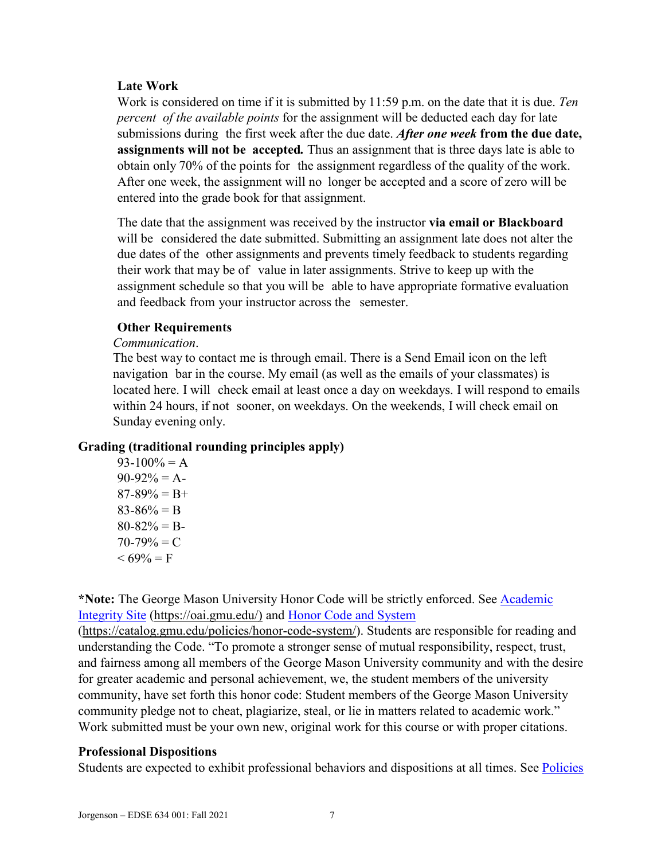### **Late Work**

Work is considered on time if it is submitted by 11:59 p.m. on the date that it is due. *Ten percent of the available points* for the assignment will be deducted each day for late submissions during the first week after the due date. *After one week* **from the due date, assignments will not be accepted***.* Thus an assignment that is three days late is able to obtain only 70% of the points for the assignment regardless of the quality of the work. After one week, the assignment will no longer be accepted and a score of zero will be entered into the grade book for that assignment.

The date that the assignment was received by the instructor **via email or Blackboard**  will be considered the date submitted. Submitting an assignment late does not alter the due dates of the other assignments and prevents timely feedback to students regarding their work that may be of value in later assignments. Strive to keep up with the assignment schedule so that you will be able to have appropriate formative evaluation and feedback from your instructor across the semester.

#### **Other Requirements**

#### *Communication*.

The best way to contact me is through email. There is a Send Email icon on the left navigation bar in the course. My email (as well as the emails of your classmates) is located here. I will check email at least once a day on weekdays. I will respond to emails within 24 hours, if not sooner, on weekdays. On the weekends, I will check email on Sunday evening only.

### **Grading (traditional rounding principles apply)**

 $93-100% = A$  $90-92% = A$  $87-89\% = B+$  $83-86% = B$  $80 - 82\% = B$  $70-79\% = C$  $< 69\% = F$ 

**\*Note:** The George Mason University Honor Code will be strictly enforced. See [Academic](https://oai.gmu.edu/)  [Integrity Site](https://oai.gmu.edu/) [\(https://oai.gmu.edu/\)](https://oai.gmu.edu/) and [Honor Code and System](https://catalog.gmu.edu/policies/honor-code-system/)

[\(https://catalog.gmu.edu/policies/honor-code-system/\)](https://catalog.gmu.edu/policies/honor-code-system/). Students are responsible for reading and understanding the Code. "To promote a stronger sense of mutual responsibility, respect, trust, and fairness among all members of the George Mason University community and with the desire for greater academic and personal achievement, we, the student members of the university community, have set forth this honor code: Student members of the George Mason University community pledge not to cheat, plagiarize, steal, or lie in matters related to academic work." Work submitted must be your own new, original work for this course or with proper citations.

### **Professional Dispositions**

Students are expected to exhibit professional behaviors and dispositions at all times. See Policies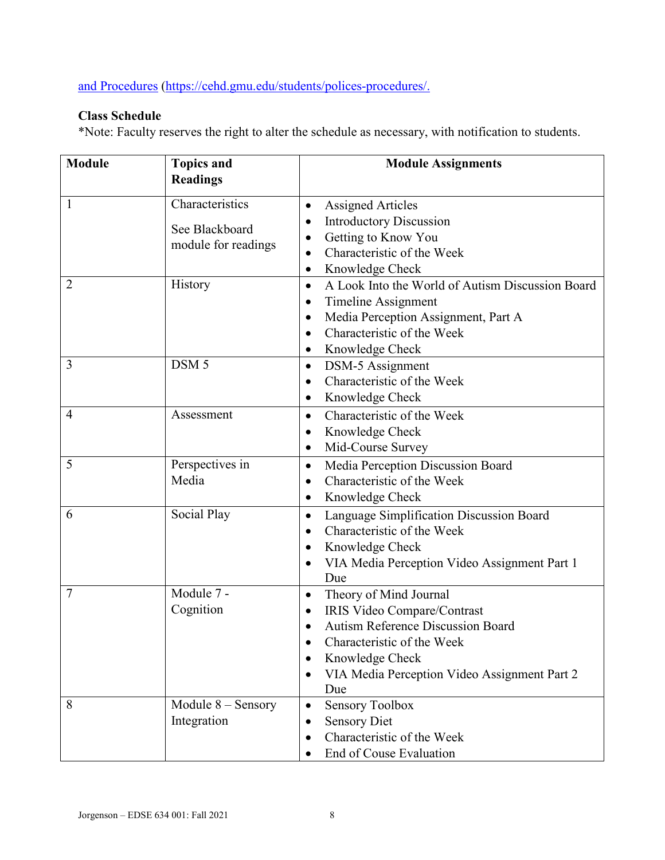[and Procedures](https://cehd.gmu.edu/students/polices-procedures/) [\(https://cehd.gmu.edu/students/polices-procedures/.](https://cehd.gmu.edu/students/polices-procedures/)

# **Class Schedule**

\*Note: Faculty reserves the right to alter the schedule as necessary, with notification to students.

| <b>Module</b>  | <b>Topics and</b>    | <b>Module Assignments</b>                                     |  |  |
|----------------|----------------------|---------------------------------------------------------------|--|--|
|                | <b>Readings</b>      |                                                               |  |  |
| $\mathbf{1}$   | Characteristics      | <b>Assigned Articles</b><br>$\bullet$                         |  |  |
|                | See Blackboard       | <b>Introductory Discussion</b><br>٠                           |  |  |
|                |                      | Getting to Know You<br>$\bullet$                              |  |  |
|                | module for readings  | Characteristic of the Week<br>$\bullet$                       |  |  |
|                |                      | Knowledge Check<br>$\bullet$                                  |  |  |
| 2              | History              | A Look Into the World of Autism Discussion Board<br>$\bullet$ |  |  |
|                |                      | Timeline Assignment<br>$\bullet$                              |  |  |
|                |                      | Media Perception Assignment, Part A<br>$\bullet$              |  |  |
|                |                      | Characteristic of the Week                                    |  |  |
|                |                      | Knowledge Check<br>$\bullet$                                  |  |  |
| 3              | DSM <sub>5</sub>     | DSM-5 Assignment<br>$\bullet$                                 |  |  |
|                |                      | Characteristic of the Week<br>$\bullet$                       |  |  |
|                |                      | Knowledge Check<br>$\bullet$                                  |  |  |
| $\overline{4}$ | Assessment           | Characteristic of the Week<br>$\bullet$                       |  |  |
|                |                      | Knowledge Check<br>٠                                          |  |  |
|                |                      | Mid-Course Survey<br>$\bullet$                                |  |  |
| 5              | Perspectives in      | Media Perception Discussion Board<br>$\bullet$                |  |  |
|                | Media                | Characteristic of the Week                                    |  |  |
|                |                      | Knowledge Check<br>٠                                          |  |  |
| 6              | Social Play          | Language Simplification Discussion Board<br>$\bullet$         |  |  |
|                |                      | Characteristic of the Week<br>$\bullet$                       |  |  |
|                |                      | Knowledge Check<br>٠                                          |  |  |
|                |                      | VIA Media Perception Video Assignment Part 1                  |  |  |
|                |                      | Due                                                           |  |  |
| $\overline{7}$ | Module 7 -           | Theory of Mind Journal<br>$\bullet$                           |  |  |
|                | Cognition            | IRIS Video Compare/Contrast<br>$\bullet$                      |  |  |
|                |                      | <b>Autism Reference Discussion Board</b>                      |  |  |
|                |                      | Characteristic of the Week                                    |  |  |
|                |                      | Knowledge Check                                               |  |  |
|                |                      | VIA Media Perception Video Assignment Part 2                  |  |  |
|                |                      | Due                                                           |  |  |
| 8              | Module $8 -$ Sensory | <b>Sensory Toolbox</b><br>$\bullet$                           |  |  |
|                | Integration          | <b>Sensory Diet</b><br>$\bullet$                              |  |  |
|                |                      | Characteristic of the Week                                    |  |  |
|                |                      | End of Couse Evaluation                                       |  |  |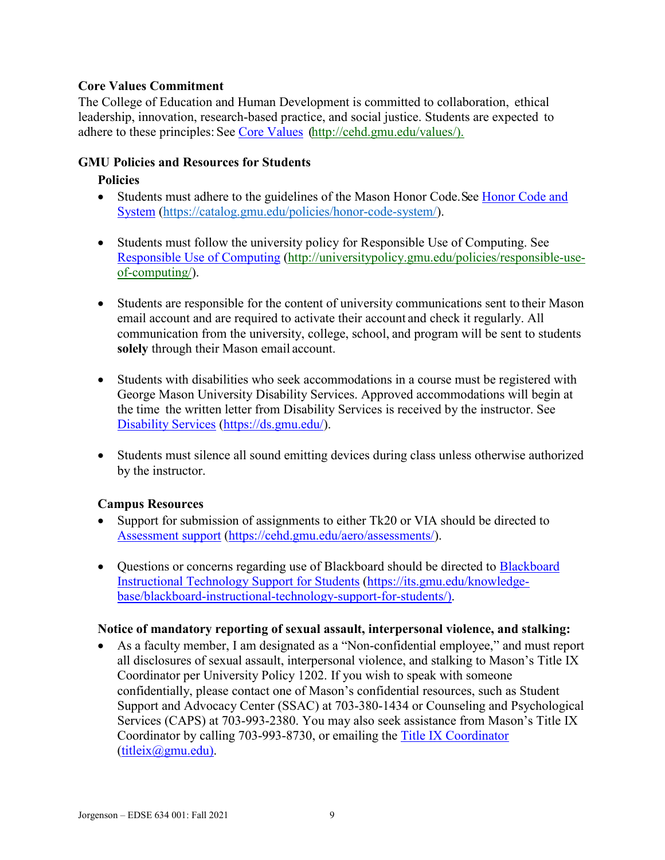## **Core Values Commitment**

The College of Education and Human Development is committed to collaboration, ethical leadership, innovation, research-based practice, and social justice. Students are expected to adhere to these principles: See [Core Values](http://cehd.gmu.edu/values/) [\(http://cehd.gmu.edu/values/\)](http://cehd.gmu.edu/values/).

### **GMU Policies and Resources for Students**

### **Policies**

- Students must adhere to the guidelines of the Mason Honor Code. See Honor Code and [System](https://catalog.gmu.edu/policies/honor-code-system/) [\(https://catalog.gmu.edu/policies/honor-code-system/\)](https://catalog.gmu.edu/policies/honor-code-system/).
- Students must follow the university policy for Responsible Use of Computing. See [Responsible Use of Computing](http://universitypolicy.gmu.edu/policies/responsible-use-of-computing/) [\(http://universitypolicy.gmu.edu/policies/responsible-use](http://universitypolicy.gmu.edu/policies/responsible-use-of-computing/)[of-computing/\)](http://universitypolicy.gmu.edu/policies/responsible-use-of-computing/).
- Students are responsible for the content of university communications sent to their Mason email account and are required to activate their account and check it regularly. All communication from the university, college, school, and program will be sent to students **solely** through their Mason email account.
- Students with disabilities who seek accommodations in a course must be registered with George Mason University Disability Services. Approved accommodations will begin at the time the written letter from Disability Services is received by the instructor. See [Disability Services](https://ds.gmu.edu/) [\(https://ds.gmu.edu/\)](https://ds.gmu.edu/).
- Students must silence all sound emitting devices during class unless otherwise authorized by the instructor.

## **Campus Resources**

- Support for submission of assignments to either Tk20 or VIA should be directed to [Assessment support](mailto:https://cehd.gmu.edu/aero/assessments/) [\(https://cehd.gmu.edu/aero/assessments/\)](https://cehd.gmu.edu/aero/assessments/).
- Questions or concerns regarding use of [Blackboard](https://its.gmu.edu/knowledge-base/blackboard-instructional-technology-support-for-students/) should be directed to Blackboard [Instructional Technology Support for Students](https://its.gmu.edu/knowledge-base/blackboard-instructional-technology-support-for-students/) [\(https://its.gmu.edu/knowledge](https://its.gmu.edu/knowledge-base/blackboard-instructional-technology-support-for-students/)[base/blackboard-instructional-technology-support-for-students/\)](https://its.gmu.edu/knowledge-base/blackboard-instructional-technology-support-for-students/).

### **Notice of mandatory reporting of sexual assault, interpersonal violence, and stalking:**

• As a faculty member, I am designated as a "Non-confidential employee," and must report all disclosures of sexual assault, interpersonal violence, and stalking to Mason's Title IX Coordinator per University Policy 1202. If you wish to speak with someone confidentially, please contact one of Mason's confidential resources, such as Student Support and Advocacy Center (SSAC) at 703-380-1434 or Counseling and Psychological Services (CAPS) at 703-993-2380. You may also seek assistance from Mason's Title IX Coordinator by calling 703-993-8730, or emailing the [Title IX Coordinator](mailto:titleix@gmu.edu) [\(titleix@gmu.edu\)](mailto:titleix@gmu.edu).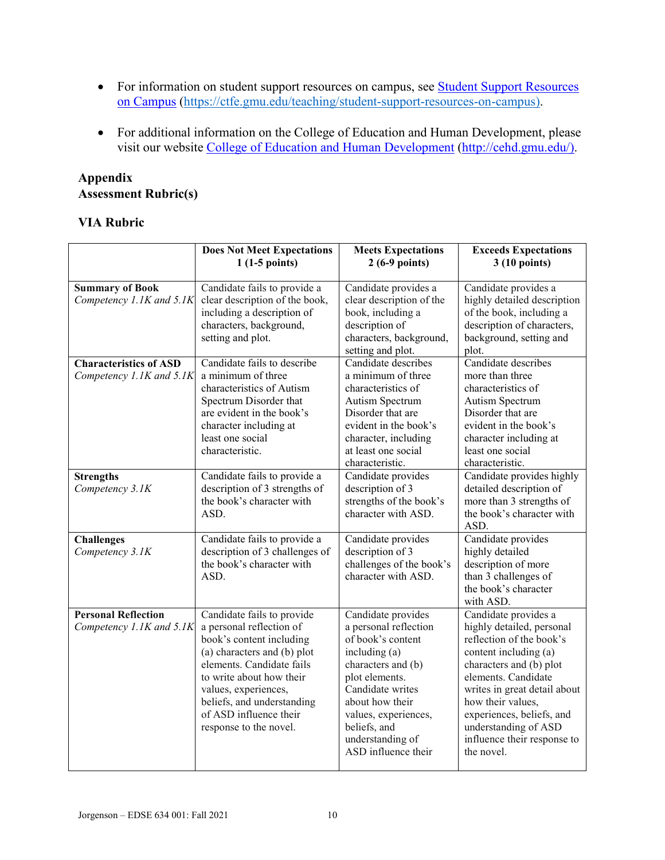- For information on student support resources on campus, see **Student Support Resources** [on Campus](https://ctfe.gmu.edu/teaching/student-support-resources-on-campus) [\(https://ctfe.gmu.edu/teaching/student-support-resources-on-campus\)](https://ctfe.gmu.edu/teaching/student-support-resources-on-campus).
- For additional information on the College of Education and Human Development, please visit our website [College of Education and Human Development](http://cehd.gmu.edu/) [\(http://cehd.gmu.edu/\)](https://cehd.gmu.edu/).

# **Appendix Assessment Rubric(s)**

## **VIA Rubric**

|                                                           | <b>Does Not Meet Expectations</b><br>$1(1-5 points)$                                                                                                                                                                                                                                 | <b>Meets Expectations</b><br>$2(6-9 points)$                                                                                                                                                                                                        | <b>Exceeds Expectations</b><br>3 (10 points)                                                                                                                                                                                                                                                                    |
|-----------------------------------------------------------|--------------------------------------------------------------------------------------------------------------------------------------------------------------------------------------------------------------------------------------------------------------------------------------|-----------------------------------------------------------------------------------------------------------------------------------------------------------------------------------------------------------------------------------------------------|-----------------------------------------------------------------------------------------------------------------------------------------------------------------------------------------------------------------------------------------------------------------------------------------------------------------|
| <b>Summary of Book</b><br>Competency 1.1K and 5.1K        | Candidate fails to provide a<br>clear description of the book,<br>including a description of<br>characters, background,<br>setting and plot.                                                                                                                                         | Candidate provides a<br>clear description of the<br>book, including a<br>description of<br>characters, background,<br>setting and plot.                                                                                                             | Candidate provides a<br>highly detailed description<br>of the book, including a<br>description of characters,<br>background, setting and<br>plot.                                                                                                                                                               |
| <b>Characteristics of ASD</b><br>Competency 1.1K and 5.1K | Candidate fails to describe<br>a minimum of three<br>characteristics of Autism<br>Spectrum Disorder that<br>are evident in the book's<br>character including at<br>least one social<br>characteristic.                                                                               | Candidate describes<br>a minimum of three<br>characteristics of<br>Autism Spectrum<br>Disorder that are<br>evident in the book's<br>character, including<br>at least one social<br>characteristic.                                                  | Candidate describes<br>more than three<br>characteristics of<br>Autism Spectrum<br>Disorder that are<br>evident in the book's<br>character including at<br>least one social<br>characteristic.                                                                                                                  |
| <b>Strengths</b><br>Competency 3.1K                       | Candidate fails to provide a<br>description of 3 strengths of<br>the book's character with<br>ASD.                                                                                                                                                                                   | Candidate provides<br>description of 3<br>strengths of the book's<br>character with ASD.                                                                                                                                                            | Candidate provides highly<br>detailed description of<br>more than 3 strengths of<br>the book's character with<br>ASD.                                                                                                                                                                                           |
| <b>Challenges</b><br>Competency 3.1K                      | Candidate fails to provide a<br>description of 3 challenges of<br>the book's character with<br>ASD.                                                                                                                                                                                  | Candidate provides<br>description of 3<br>challenges of the book's<br>character with ASD.                                                                                                                                                           | Candidate provides<br>highly detailed<br>description of more<br>than 3 challenges of<br>the book's character<br>with ASD.                                                                                                                                                                                       |
| <b>Personal Reflection</b><br>Competency 1.1K and 5.1K    | Candidate fails to provide<br>a personal reflection of<br>book's content including<br>(a) characters and (b) plot<br>elements. Candidate fails<br>to write about how their<br>values, experiences,<br>beliefs, and understanding<br>of ASD influence their<br>response to the novel. | Candidate provides<br>a personal reflection<br>of book's content<br>including (a)<br>characters and (b)<br>plot elements.<br>Candidate writes<br>about how their<br>values, experiences,<br>beliefs, and<br>understanding of<br>ASD influence their | Candidate provides a<br>highly detailed, personal<br>reflection of the book's<br>content including (a)<br>characters and (b) plot<br>elements. Candidate<br>writes in great detail about<br>how their values,<br>experiences, beliefs, and<br>understanding of ASD<br>influence their response to<br>the novel. |